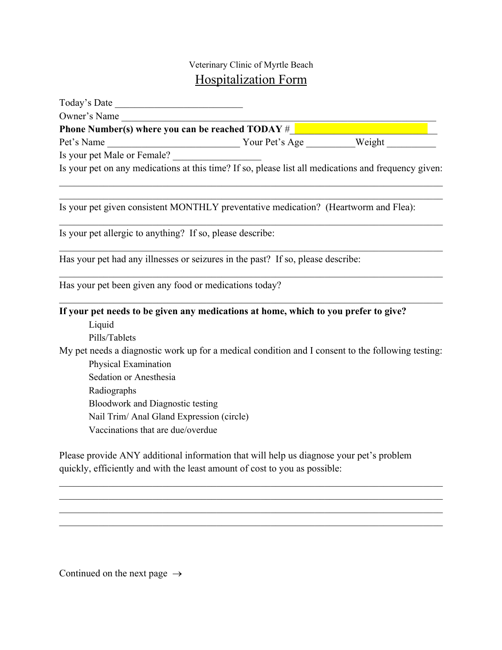## Veterinary Clinic of Myrtle Beach Hospitalization Form

| Today's Date                                                                                         |  |  |
|------------------------------------------------------------------------------------------------------|--|--|
| Owner's Name                                                                                         |  |  |
| Phone Number(s) where you can be reached TODAY # <b>1989 1999 1999 1999 1999 1999 1999</b>           |  |  |
| Pet's Name                                                                                           |  |  |
| Is your pet Male or Female?                                                                          |  |  |
| Is your pet on any medications at this time? If so, please list all medications and frequency given: |  |  |
| Is your pet given consistent MONTHLY preventative medication? (Heartworm and Flea):                  |  |  |
| Is your pet allergic to anything? If so, please describe:                                            |  |  |
| Has your pet had any illnesses or seizures in the past? If so, please describe:                      |  |  |
| Has your pet been given any food or medications today?                                               |  |  |
| If your pet needs to be given any medications at home, which to you prefer to give?                  |  |  |
| Liquid                                                                                               |  |  |
| Pills/Tablets                                                                                        |  |  |
| My pet needs a diagnostic work up for a medical condition and I consent to the following testing:    |  |  |
| Physical Examination                                                                                 |  |  |
| Sedation or Anesthesia                                                                               |  |  |
| Radiographs                                                                                          |  |  |
| <b>Bloodwork and Diagnostic testing</b>                                                              |  |  |
| Nail Trim/ Anal Gland Expression (circle)                                                            |  |  |
| Vaccinations that are due/overdue                                                                    |  |  |
|                                                                                                      |  |  |

Please provide ANY additional information that will help us diagnose your pet's problem quickly, efficiently and with the least amount of cost to you as possible:

Continued on the next page  $\rightarrow$